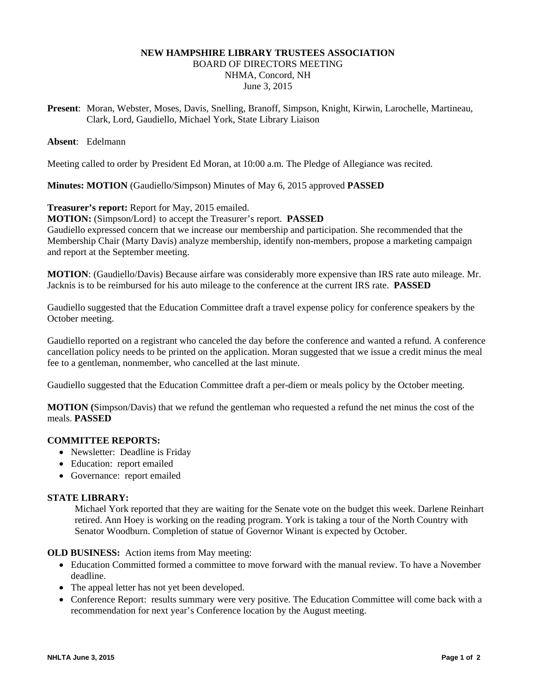# **NEW HAMPSHIRE LIBRARY TRUSTEES ASSOCIATION**

BOARD OF DIRECTORS MEETING NHMA, Concord, NH

June 3, 2015

**Present**: Moran, Webster, Moses, Davis, Snelling, Branoff, Simpson, Knight, Kirwin, Larochelle, Martineau, Clark, Lord, Gaudiello, Michael York, State Library Liaison

**Absent**: Edelmann

Meeting called to order by President Ed Moran, at 10:00 a.m. The Pledge of Allegiance was recited.

**Minutes: MOTION** (Gaudiello/Simpson) Minutes of May 6, 2015 approved **PASSED**

**Treasurer's report:** Report for May, 2015 emailed.

**MOTION:** (Simpson/Lord} to accept the Treasurer's report. **PASSED**

Gaudiello expressed concern that we increase our membership and participation. She recommended that the Membership Chair (Marty Davis) analyze membership, identify non-members, propose a marketing campaign and report at the September meeting.

**MOTION**: (Gaudiello/Davis) Because airfare was considerably more expensive than IRS rate auto mileage. Mr. Jacknis is to be reimbursed for his auto mileage to the conference at the current IRS rate. **PASSED**

Gaudiello suggested that the Education Committee draft a travel expense policy for conference speakers by the October meeting.

Gaudiello reported on a registrant who canceled the day before the conference and wanted a refund. A conference cancellation policy needs to be printed on the application. Moran suggested that we issue a credit minus the meal fee to a gentleman, nonmember, who cancelled at the last minute.

Gaudiello suggested that the Education Committee draft a per-diem or meals policy by the October meeting.

**MOTION (**Simpson/Davis) that we refund the gentleman who requested a refund the net minus the cost of the meals. **PASSED**

## **COMMITTEE REPORTS:**

- Newsletter: Deadline is Friday
- Education: report emailed
- Governance: report emailed

## **STATE LIBRARY:**

Michael York reported that they are waiting for the Senate vote on the budget this week. Darlene Reinhart retired. Ann Hoey is working on the reading program. York is taking a tour of the North Country with Senator Woodburn. Completion of statue of Governor Winant is expected by October.

### **OLD BUSINESS:** Action items from May meeting:

- Education Committed formed a committee to move forward with the manual review. To have a November deadline.
- The appeal letter has not yet been developed.
- Conference Report: results summary were very positive. The Education Committee will come back with a recommendation for next year's Conference location by the August meeting.